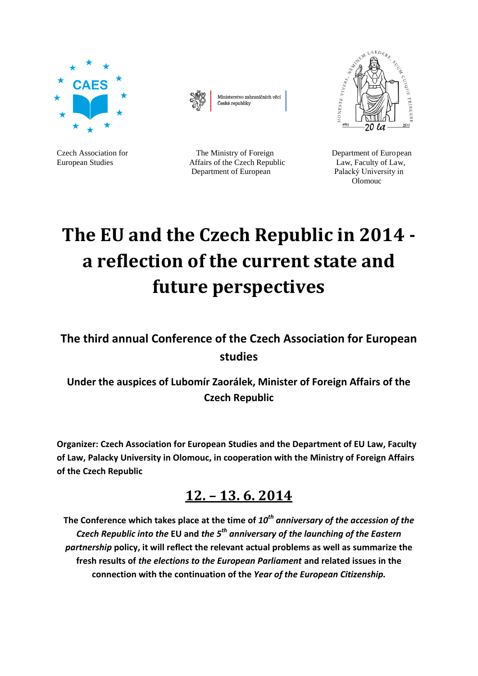



Ministerstvo zahraničních věcí České republiky



Czech Association for The Ministry of Foreign Department of European European Studies **Affairs of the Czech Republic** Law, Faculty of Law, Department of European Palacký University in

**Company Company Company Company Company** 

# **The EU and the Czech Republic in 2014 a reflection of the current state and future perspectives**

**The third annual Conference of the Czech Association for European studies**

**Under the auspices of Lubomír Zaorálek, Minister of Foreign Affairs of the Czech Republic**

**Organizer: Czech Association for European Studies and the Department of EU Law, Faculty of Law, Palacky University in Olomouc, in cooperation with the Ministry of Foreign Affairs of the Czech Republic**

# **12. – 13. 6. 2014**

**The Conference which takes place at the time of** *10th anniversary of the accession of the Czech Republic into the* **EU and** *the 5th anniversary of the launching of the Eastern partnership* **policy, it will reflect the relevant actual problems as well as summarize the fresh results of** *the elections to the European Parliament* **and related issues in the connection with the continuation of the** *Year of the European Citizenship.*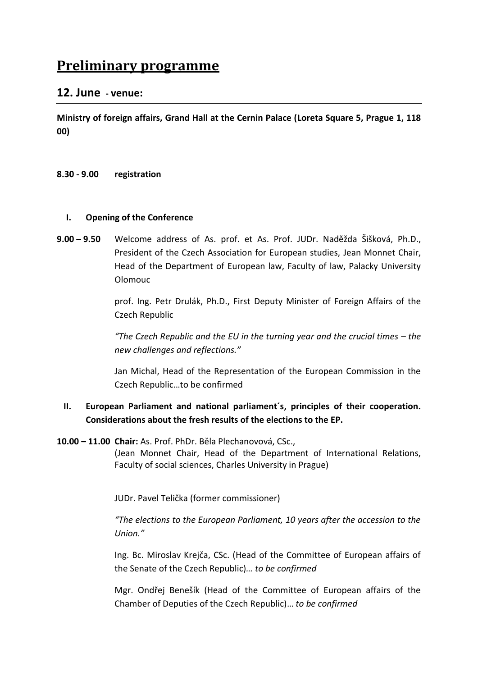# **Preliminary programme**

# **12. June - venue:**

**Ministry of foreign affairs, Grand Hall at the Cernin Palace (Loreta Square 5, Prague 1, 118 00)** 

#### **8.30 - 9.00 registration**

#### **I. Opening of the Conference**

**9.00 – 9.50** Welcome address of As. prof. et As. Prof. JUDr. Naděžda Šišková, Ph.D., President of the Czech Association for European studies, Jean Monnet Chair, Head of the Department of European law, Faculty of law, Palacky University Olomouc

> prof. Ing. Petr Drulák, Ph.D., First Deputy Minister of Foreign Affairs of the Czech Republic

> *"The Czech Republic and the EU in the turning year and the crucial times – the new challenges and reflections."*

> Jan Michal, Head of the Representation of the European Commission in the Czech Republic…to be confirmed

# **II. European Parliament and national parliament´s, principles of their cooperation. Considerations about the fresh results of the elections to the EP.**

**10.00 – 11.00 Chair:** As. Prof. PhDr. Běla Plechanovová, CSc.,

(Jean Monnet Chair, Head of the Department of International Relations, Faculty of social sciences, Charles University in Prague)

JUDr. Pavel Telička (former commissioner)

*"The elections to the European Parliament, 10 years after the accession to the Union."*

Ing. Bc. Miroslav Krejča, CSc. (Head of the Committee of European affairs of the Senate of the Czech Republic)*… to be confirmed*

Mgr. Ondřej Benešík (Head of the Committee of European affairs of the Chamber of Deputies of the Czech Republic)… *to be confirmed*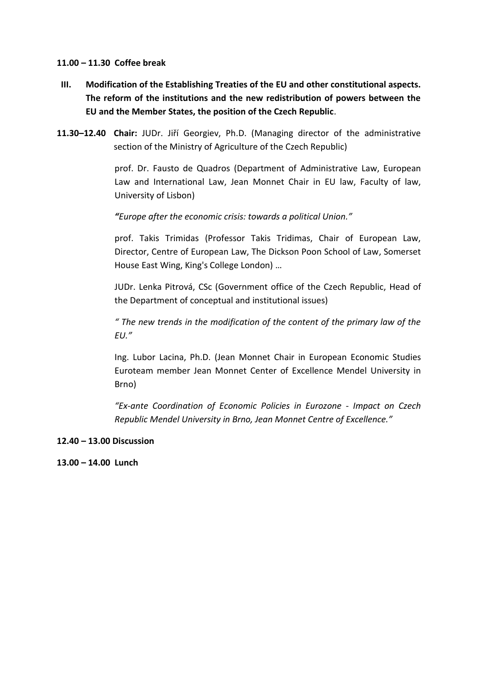#### **11.00 – 11.30 Coffee break**

- **III. Modification of the Establishing Treaties of the EU and other constitutional aspects. The reform of the institutions and the new redistribution of powers between the EU and the Member States, the position of the Czech Republic**.
- **11.30–12.40 Chair:** JUDr. Jiří Georgiev, Ph.D. (Managing director of the administrative section of the Ministry of Agriculture of the Czech Republic)

prof. Dr. Fausto de Quadros (Department of Administrative Law, European Law and International Law, Jean Monnet Chair in EU law, Faculty of law, University of Lisbon)

*"Europe after the economic crisis: towards a political Union."*

prof. Takis Trimidas (Professor Takis Tridimas, Chair of European Law, Director, Centre of European Law, The Dickson Poon School of Law, Somerset House East Wing, King's College London) …

JUDr. Lenka Pitrová, CSc (Government office of the Czech Republic, Head of the Department of conceptual and institutional issues)

*" The new trends in the modification of the content of the primary law of the EU."*

Ing. Lubor Lacina, Ph.D. (Jean Monnet Chair in European Economic Studies Euroteam member Jean Monnet Center of Excellence Mendel University in Brno)

*"Ex-ante Coordination of Economic Policies in Eurozone - Impact on Czech Republic Mendel University in Brno, Jean Monnet Centre of Excellence."*

#### **12.40 – 13.00 Discussion**

**13.00 – 14.00 Lunch**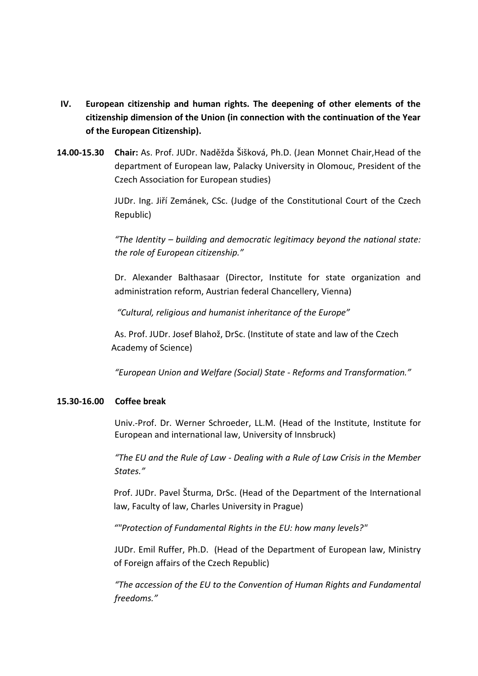- **IV. European citizenship and human rights. The deepening of other elements of the citizenship dimension of the Union (in connection with the continuation of the Year of the European Citizenship).**
- **14.00-15.30 Chair:** As. Prof. JUDr. Naděžda Šišková, Ph.D. (Jean Monnet Chair,Head of the department of European law, Palacky University in Olomouc, President of the Czech Association for European studies)

JUDr. Ing. Jiří Zemánek, CSc. (Judge of the Constitutional Court of the Czech Republic)

*"The Identity – building and democratic legitimacy beyond the national state: the role of European citizenship."*

Dr. Alexander Balthasaar (Director, Institute for state organization and administration reform, Austrian federal Chancellery, Vienna)

*"Cultural, religious and humanist inheritance of the Europe"* 

As. Prof. JUDr. Josef Blahož, DrSc. (Institute of state and law of the Czech Academy of Science)

*"European Union and Welfare (Social) State - Reforms and Transformation."*

#### **15.30-16.00 Coffee break**

Univ.-Prof. Dr. Werner Schroeder, LL.M. (Head of the Institute, Institute for European and international law, University of Innsbruck)

*"The EU and the Rule of Law - Dealing with a Rule of Law Crisis in the Member States."*

Prof. JUDr. Pavel Šturma, DrSc. (Head of the Department of the International law, Faculty of law, Charles University in Prague)

*""Protection of Fundamental Rights in the EU: how many levels?"*

JUDr. Emil Ruffer, Ph.D. (Head of the Department of European law, Ministry of Foreign affairs of the Czech Republic)

*"The accession of the EU to the Convention of Human Rights and Fundamental freedoms."*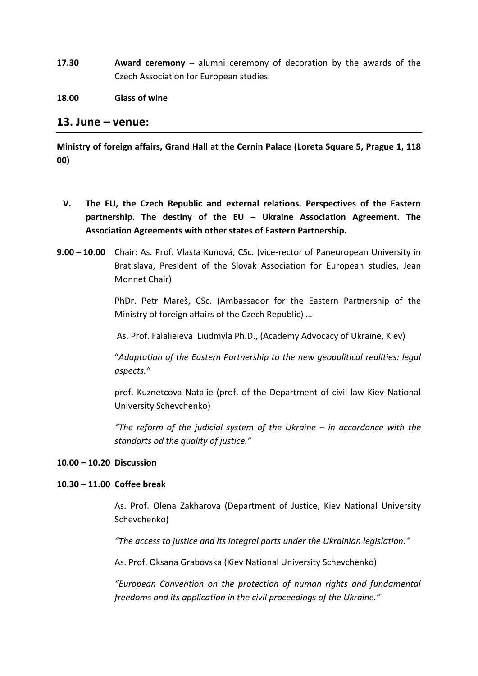**17.30 Award ceremony** – alumni ceremony of decoration by the awards of the Czech Association for European studies

#### **18.00 Glass of wine**

#### **13. June – venue:**

**Ministry of foreign affairs, Grand Hall at the Cernin Palace (Loreta Square 5, Prague 1, 118 00)** 

- **V. The EU, the Czech Republic and external relations. Perspectives of the Eastern partnership. The destiny of the EU – Ukraine Association Agreement. The Association Agreements with other states of Eastern Partnership.**
- **9.00 – 10.00** Chair: As. Prof. Vlasta Kunová, CSc. (vice-rector of Paneuropean University in Bratislava, President of the Slovak Association for European studies, Jean Monnet Chair)

PhDr. Petr Mareš, CSc. (Ambassador for the Eastern Partnership of the Ministry of foreign affairs of the Czech Republic) …

As. Prof. Falalieieva Liudmyla Ph.D., (Academy Advocacy of Ukraine, Kiev)

"*Adaptation of the Eastern Partnership to the new geopolitical realities: legal aspects."*

prof. Kuznetcova Natalie (prof. of the Department of civil law Kiev National University Schevchenko)

*"The reform of the judicial system of the Ukraine – in accordance with the standarts od the quality of justice."*

#### **10.00 – 10.20 Discussion**

#### **10.30 – 11.00 Coffee break**

As. Prof. Olena Zakharova (Department of Justice, Kiev National University Schevchenko)

*"The access to justice and its integral parts under the Ukrainian legislation."*

As. Prof. Oksana Grabovska (Kiev National University Schevchenko)

*"European Convention on the protection of human rights and fundamental freedoms and its application in the civil proceedings of the Ukraine."*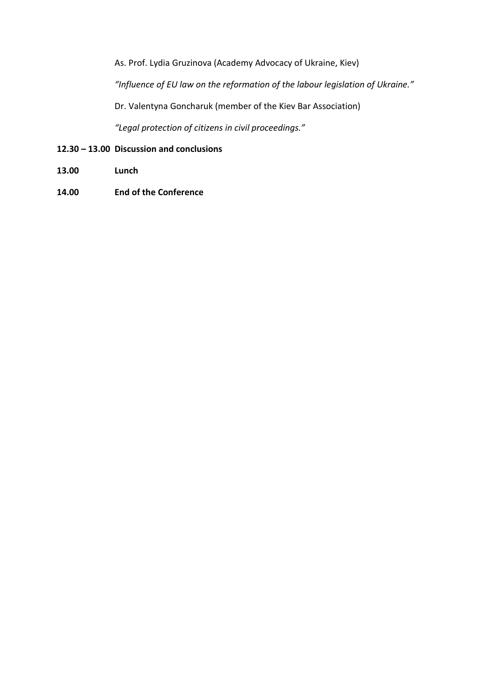As. Prof. Lydia Gruzinova (Academy Advocacy of Ukraine, Kiev)

*"Influence of EU law on the reformation of the labour legislation of Ukraine."*

Dr. Valentyna Goncharuk (member of the Kiev Bar Association)

*"Legal protection of citizens in civil proceedings."*

# **12.30 – 13.00 Discussion and conclusions**

- **13.00 Lunch**
- **14.00 End of the Conference**